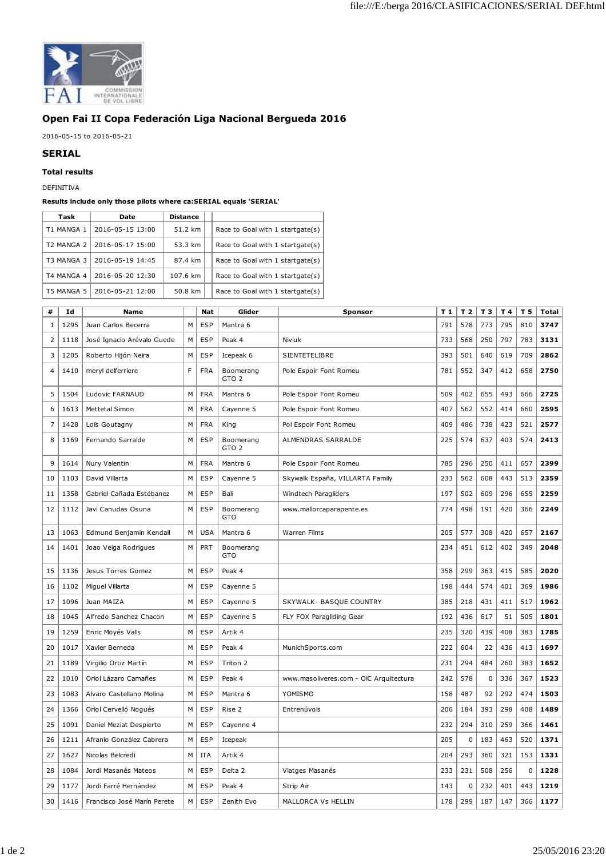

## **Open Fai II Copa Federación Liga Nacional Bergueda 2016**

2016-05-15 to 2016-05-21

## **SERIAL**

**Total results**

DEFINITIVA

## **Results include only those pilots where ca:SERIAL equals 'SERIAL'**

| Task       | Date             | <b>Distance</b> |                                  |
|------------|------------------|-----------------|----------------------------------|
| T1 MANGA 1 | 2016-05-15 13:00 | 51.2 km         | Race to Goal with 1 startgate(s) |
| T2 MANGA 2 | 2016-05-17 15:00 | 53.3 km         | Race to Goal with 1 startgate(s) |
| T3 MANGA 3 | 2016-05-19 14:45 | 87.4 km         | Race to Goal with 1 startgate(s) |
| T4 MANGA 4 | 2016-05-20 12:30 | 107.6 km        | Race to Goal with 1 startgate(s) |
| T5 MANGA 5 | 2016-05-21 12:00 | 50.8 km         | Race to Goal with 1 startgate(s) |

| #            | Id   | Name                        |   | Nat        | Glider                        | Sponsor                                | T <sub>1</sub> | T <sub>2</sub> | T 3 | T 4 | T 5 | Total |
|--------------|------|-----------------------------|---|------------|-------------------------------|----------------------------------------|----------------|----------------|-----|-----|-----|-------|
| $\mathbf{1}$ | 1295 | Juan Carlos Becerra         | M | <b>ESP</b> | Mantra 6                      |                                        | 791            | 578            | 773 | 795 | 810 | 3747  |
| 2            | 1118 | José Ignacio Arévalo Guede  | М | <b>ESP</b> | Peak 4                        | Niviuk                                 | 733            | 568            | 250 | 797 | 783 | 3131  |
| 3            | 1205 | Roberto Hijón Neira         | M | <b>ESP</b> | Icepeak 6                     | SIENTETELIBRE                          | 393            | 501            | 640 | 619 | 709 | 2862  |
| 4            | 1410 | meryl delferriere           | F | <b>FRA</b> | Boomerang<br>GTO <sub>2</sub> | Pole Espoir Font Romeu                 | 781            | 552            | 347 | 412 | 658 | 2750  |
| 5            | 1504 | Ludovic FARNAUD             | M | <b>FRA</b> | Mantra 6                      | Pole Espoir Font Romeu                 | 509            | 402            | 655 | 493 | 666 | 2725  |
| 6            | 1613 | Mettetal Simon              | M | <b>FRA</b> | Cayenne 5                     | Pole Espoir Font Romeu                 | 407            | 562            | 552 | 414 | 660 | 2595  |
| 7            | 1428 | Loïs Goutagny               | M | <b>FRA</b> | King                          | Pol Espoir Font Romeu                  | 409            | 486            | 738 | 423 | 521 | 2577  |
| 8            | 1169 | Fernando Sarralde           | М | <b>ESP</b> | Boomerang<br>GTO <sub>2</sub> | ALMENDRAS SARRALDE                     | 225            | 574            | 637 | 403 | 574 | 2413  |
| 9            | 1614 | Nury Valentin               | M | <b>FRA</b> | Mantra 6                      | Pole Espoir Font Romeu                 | 785            | 296            | 250 | 411 | 657 | 2399  |
| 10           | 1103 | David Villarta              | M | <b>ESP</b> | Cayenne 5                     | Skywalk España, VILLARTA Family        | 233            | 562            | 608 | 443 | 513 | 2359  |
| 11           | 1358 | Gabriel Cañada Estébanez    | M | <b>ESP</b> | Bali                          | Windtech Paragliders                   | 197            | 502            | 609 | 296 | 655 | 2259  |
| 12           | 1112 | Javi Canudas Osuna          | M | <b>ESP</b> | Boomerang<br>GTO              | www.mallorcaparapente.es               | 774            | 498            | 191 | 420 | 366 | 2249  |
| 13           | 1063 | Edmund Benjamin Kendall     | M | <b>USA</b> | Mantra 6                      | <b>Warren Films</b>                    | 205            | 577            | 308 | 420 | 657 | 2167  |
| 14           | 1401 | Joao Veiga Rodrigues        | М | <b>PRT</b> | Boomerang<br>GTO              |                                        | 234            | 451            | 612 | 402 | 349 | 2048  |
| 15           | 1136 | Jesus Torres Gomez          | M | <b>ESP</b> | Peak 4                        |                                        | 358            | 299            | 363 | 415 | 585 | 2020  |
| 16           | 1102 | Miguel Villarta             | M | <b>ESP</b> | Cayenne 5                     |                                        | 198            | 444            | 574 | 401 | 369 | 1986  |
| 17           | 1096 | Juan MAIZA                  | M | <b>ESP</b> | Cayenne 5                     | SKYWALK- BASQUE COUNTRY                | 385            | 218            | 431 | 411 | 517 | 1962  |
| 18           | 1045 | Alfredo Sanchez Chacon      | M | <b>ESP</b> | Cayenne 5                     | FLY FOX Paragliding Gear               | 192            | 436            | 617 | 51  | 505 | 1801  |
| 19           | 1259 | Enric Moyés Valls           | М | <b>ESP</b> | Artik 4                       |                                        | 235            | 320            | 439 | 408 | 383 | 1785  |
| 20           | 1017 | Xavier Berneda              | M | <b>ESP</b> | Peak 4                        | MunichSports.com                       | 222            | 604            | 22  | 436 | 413 | 1697  |
| 21           | 1189 | Virgilio Ortiz Martín       | М | <b>ESP</b> | Triton 2                      |                                        | 231            | 294            | 484 | 260 | 383 | 1652  |
| 22           | 1010 | Oriol Lázaro Camañes        | M | <b>ESP</b> | Peak 4                        | www.masoliveres.com - OIC Arquitectura | 242            | 578            | 0   | 336 | 367 | 1523  |
| 23           | 1083 | Alvaro Castellano Molina    | M | <b>ESP</b> | Mantra 6                      | YOMISMO                                | 158            | 487            | 92  | 292 | 474 | 1503  |
| 24           | 1366 | Oriol Cervelló Nogués       | M | <b>ESP</b> | Rise 2                        | Entrenúvols                            | 206            | 184            | 393 | 298 | 408 | 1489  |
| 25           | 1091 | Daniel Meziat Despierto     | M | <b>ESP</b> | Cayenne 4                     |                                        | 232            | 294            | 310 | 259 | 366 | 1461  |
| 26           | 1211 | Afranio González Cabrera    | М | ESP        | Icepeak                       |                                        | 205            | $\pmb{0}$      | 183 | 463 | 520 | 1371  |
| 27           | 1627 | Nicolas Belcredi            | М | <b>ITA</b> | Artik 4                       |                                        | 204            | 293            | 360 | 321 | 153 | 1331  |
| 28           | 1084 | Jordi Masanés Mateos        | M | ESP        | Delta 2                       | Viatges Masanés                        | 233            | 231            | 508 | 256 | 0   | 1228  |
| 29           | 1177 | Jordi Farré Hernández       | M | <b>ESP</b> | Peak 4                        | Strip Air                              | 143            | $\pmb{0}$      | 232 | 401 | 443 | 1219  |
| 30           | 1416 | Francisco José Marín Perete | M | <b>ESP</b> | Zenith Evo                    | MALLORCA Vs HELLIN                     | 178            | 299            | 187 | 147 | 366 | 1177  |